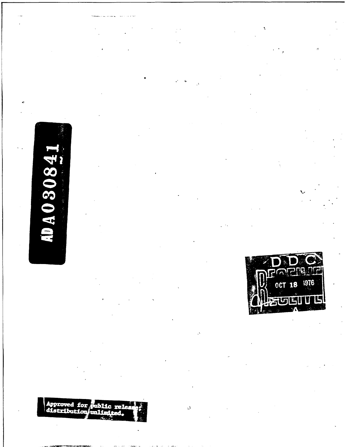# AD A O 3084

Approved for public releases

 $\vec{\omega}$ 

**ROL** í a 1976 18 **OCT** L,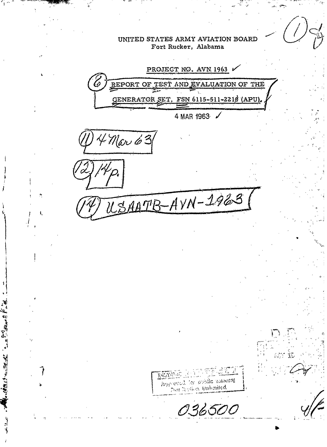UNITED STATES ARMY AVIATION BOARD Fort Rucker, Alabama PROJECT NO. AVN 1963 BEPORT OF TEST AND EVALUATION OF THE GENERATOR SET, FSN 6115-511-2210 (APU) 4 MAR 1963 /  $4$ Mar 63 USAATB-AVN-1963 镇滨洋泥 hop evel for public memoral That Author, Unhoused 036500

**ALLEY START AND** 

 $1/4 + 1/2$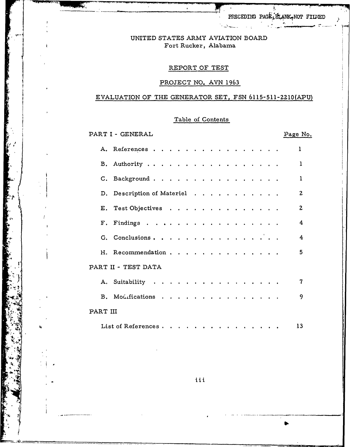PRECEDING PAGE FLANK NOT FILMED

# UNITED STATES ARMY AVIATION BOARD Fort Rucker, Alabama

# REPORT OF TEST

# PROJECT NO. AVN 1963

# EVALUATION OF THE GENERATOR SET, FSN 6115-511-2210(APU)

# Table of Contents

PART I - GENERAL Page No. A. References . . . . . . . . . . . . . . . .  $\mathbf{1}$ B. Authority . . . . . . . . . . . . . . . . .  $\mathbf{1}$ C. Background . . . . . . . . . . . . . . . .  $\mathbf{1}$ D. Description of Materiel . . . . . . . . . . .  $\overline{2}$ E. Test Objectives . . . . . . . . . . . . . .  $\overline{2}$  $F.$  Findings . . . . . . . . . . . . . 4 G. Conclusions. . . . . . . . . . . .  $\overline{\mathbf{4}}$ H. Recommendation . . . . . . . . . . . . . . 5 PART II - TEST DATA A. Suitability . . . . . . . . . . . . . . . .  $\overline{7}$ B. Modifications . . . . . . . . . . . . . . . 9 PART III List of References . . . . . . . . . . . .  $13$ 

iii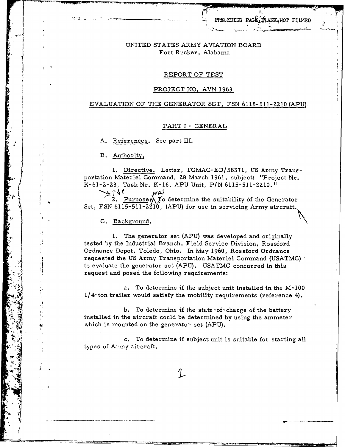# UNITED STATES ARMY AVIATION BOARD Fort Rucker, Alabama

### REPORT OF TEST

#### PROJECT NO. AVN 1963

### EVALUATION OF THE GENERATOR SET, FSN 6115-511-Z10. (APU)

#### PART I **-** GENERAL

A. References. See part III.

**<sup>I</sup>**B. Authority.

**<sup>I</sup>1.** Directive. Letter, TCMAC-ED/58371, US Army Trans portation Materiel Command, 28 March 1961, subject: "Project Nr. K-61-2-23, Task Nr. K-16, APU Unit, P/N 6115-511-2210."

 $7h$ e was 2. Purpose  $\bigwedge \overline{f}$  determine the suitability of the Generator Set, FSN 6115-511-2210, (APU) for use in servicing Army aircraft.

C. Background.

**1.** The generator set (APU) was developed and originally tested by the Industrial Branch, Field Service Division, Rossford Ordnance Depot, Toledo, Ohio. In May 1960, Rossford Ordnance requested the US Army Transportation Materiel Command **(USATMC)** to evaluate the generator set (APU). USATMC concurred in this request and posed the following requirements:

a. To determine if the subject unit installed in the **M-100**  $1/4$ -ton trailer would satisfy the mobility requirements (reference 4).

b. To determine if the state-of-charge of the battery installed in the aircraft could be determined by using the ammeter which is mounted on the generator set (APU).

c. To determine if subject unit is suitable for starting all types of Army aircraft.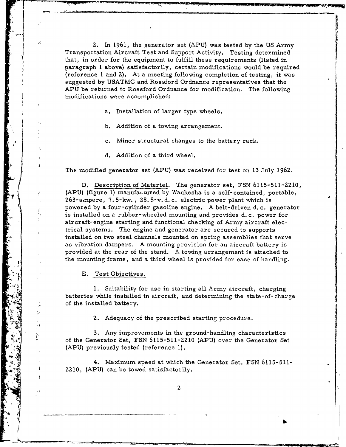**2.** In 1961, the generator set **(APU)** was tested by the **US** Army Transportation Aircraft Test and Support Activity. Testing determined that, in order for the equipment to fulfill these requirements (listed in paragraph 1 above) satisfactorily, certain modifications would be required (reference **1** and **2).** At a meeting following completion of testing, it was suggested by USATMC and Rossford Ordnance representatives that the APU be returned to Rossford Ordnance for modification. The following modifications were accomplished:

a. Installation of larger type wheels.

b. Addition of a towing arrangement.

c. Minor structural changes to the battery rack.

d. Addition of a third wheel.

**1 M**  $\frac{1}{2}$  M  $\frac{1}{2}$  M  $\frac{1}{2}$  M  $\frac{1}{2}$  M  $\frac{1}{2}$  M  $\frac{1}{2}$  M  $\frac{1}{2}$  M  $\frac{1}{2}$  M  $\frac{1}{2}$  M  $\frac{1}{2}$  M  $\frac{1}{2}$  M  $\frac{1}{2}$  M  $\frac{1}{2}$  M  $\frac{1}{2}$  M  $\frac{1}{2}$  M  $\frac{1}{2}$  M  $\frac{1}{2}$  M  $\frac{1}{2}$  M

The modified generator set (APU) was received for test on 13 July **1962.**

D. Description of Materiel. The generator set, FSN **6115-511-2210,** (APU) (figure **1)** manufaLtured by Waukesha is a self-contained, portable, 263-aL'pere, 7. 5-kw. , **28.** 5-v. d.c. electric power plant which is powered by a four-cylinder gasoline engine. A belt-driven d.c. generator is installed on a rubber-wheeled mounting and provides d. c. power for **air craft-** engine starting **and** functional checking **of** Army aircraft electrical systems. The engine and generator are secured to supports installed on two steel channels mounted on spring assemblies that serve as vibration dampers. A mounting provision for an aircraft battery is provided at the rear of the stand. A towing arrangement is attached to the mounting frame, and a third wheel is provided for ease of handling.

E. Test Objectives.

**1.** Suitability for use in starting all Army aircraft, charging batteries while installed in aircraft, and determining the state-of-charge of the installed battery.

**2.** Adequacy of the prescribed starting procedure.

3. Any improvements in the ground-handling characteristics of the Generator Set, FSN 6115-511-ZZ10 (APU) over the Generator Set (APU) previously tested (reference **1).**

4. Maximum speed at which the Generator Set, FSN 6115-511- **2210,** (APU) can be towed satisfactorily.

 $\overline{2}$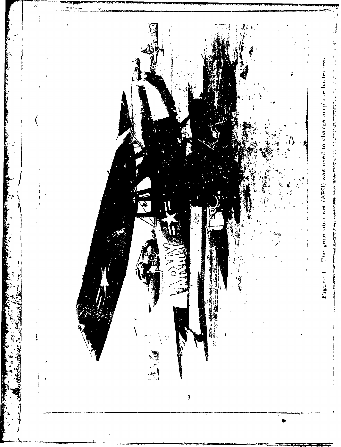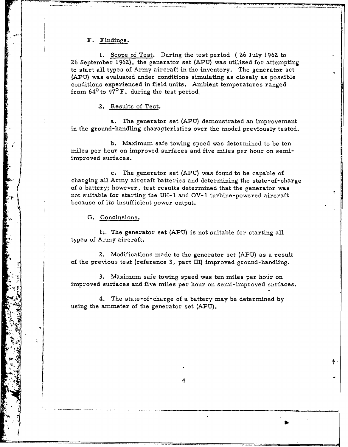# F. Findings.

**1.** Scope of Test. During the test period ( **26** July 1962 to **26** September 1962), the generator set (APU) was utilized for attempting to start all types of Army aircraft in the inventory. The generator set **(APU)** was evaluated under conditions simulating as closely as possible conditions experienced in field units. Ambient temperatures ranged from 640 to **970** F. during the test period,

**2,** Results of Test.

a. The generator set **(APU)** demonstrated an improvement in the ground-handling characteristics over the model previously tested.

b. Maximum safe towing speed was determined to be ten miles per hour on improved surfaces and five miles per hour on semiimproved surfaces.

c. The generator set (APU) was found to be capable of charging all Army aircraft batteries and determining the state-of-charge of a battery; however, test results determined that the generator was not suitable for starting the **UH-1** and OV- 1 turbine-powered aircraft because of its insufficient power output.

**G.** Conclusions.

L.. The generator set **(APU)** is not suitable for starting all types of Army aircraft.

**2.** Modifications made to the generator set **(APU)** as a result of the previous test (reference **3,** part III) improved ground-handling.

3. Maximum safe towing speed was ten miles per hour on improved surfaces and five miles per hour on semi-improved surfaces.

4. The state-of-charge of a battery may be determined by 4. The state-of-charge of a battery i

4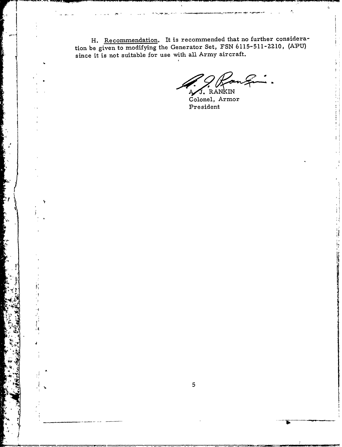H. Recommendation. It is recommended that no further consideration be given to modifying the Generator Set, FSN 6115-511-2210, (APU) since it is not suitable for use with all Army aircraft.

J. RANKIN

Ť

Ą Colonel, Armor President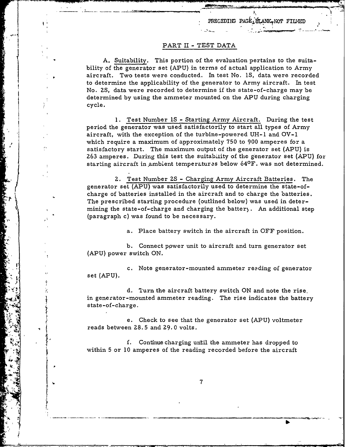# PART II - TEST DATA

A. Suitability. This portion of the evaluation pertains to the suitability of the generator set **(APU)** in terms of actual application to Army aircraft. Two tests were conducted. In test No. IS, data were recorded to determine the applicability of the generator to Army aircraft. In test **~No. 2S,** data were recorded to determine if the state-of-charge may be determined by using the ammeter mounted on the APU during charging cycle.

**1.** Test Number IS **-** Starting Army Aircraft. During the test period the generator was used satisfactorily to start all types of Army aircraft, with the exception of the turbine-powered **UH-I** and OV-I which require a maximum of approximately **750** to **900** amperes for a satisfactory start. The maximum output of the generator set (APU) is 263 amperes. During this test the suitability of the generator set (APU) for starting aircraft in ambient temperatures below  $64^{\circ}$  F. was not determined.

**Z.** Test Number **ZS** - Charging Army Aircraft Batteries. The generator set (APU) was satisfactorily used to determine the state-ofcharge of batteries installed in the aircraft and to charge the batteries. The prescribed starting procedure (outlined below) was used in deter- ~mining the state-of-charge **and** charging the batter . An additional step (paragraph c) was found to be necessary.

a. Place battery switch in the aircraft in OFF position.

b. Connect power unit to aircraft and turn generator set (APU) power switch ON.

c. Note generator-mounted ammeter reading of generator set **(APU).**

**d.** Turn the aircraft battery switch ON and note the rise, in generator-mounted ammeter reading. The rise indicates the battery state-of-charge.

e. Check to see that the generator set (APU) voltmeter reads between **28. 5** and **29.** 0 volts.

f. Continue charging until the ammeter has dropped to within **5** or **10** amperes of the reading recorded before the aircraft

7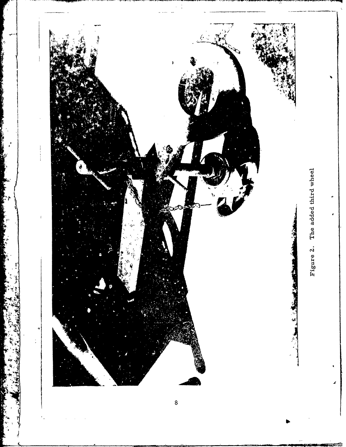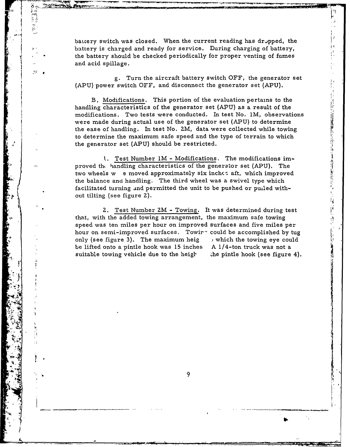battery switch was closed. When the current reading has dropped, the battery is charged and ready for service. During charging of battery, the battery should be checked periodically for proper venting of fumes and acid spillage.

g. Turn the aircraft battery switch OFF, the generator set (APU) power switch OFF, and disconnect the generator set (APU).

B. Modifications. This portion of the evaluation pertains to the handling characteristics of the generator set **(APU)** as a result of the modifications. Two tests were conducted. In test No. **1M,** observations were made during actual use of the generator set (APU) to determine the ease of handling. In test No. ZM, data were collected while towing to determine the maximum safe speed and the type of terrain to which the generator set **(APU)** should be restricted.

- 100mm 100mm 200mm 100mm 100mm 100mm 100mm 100mm 100mm 100mm 100mm 100mm 100mm 100mm 100mm 100mm 10

ł,

**1.** Test Number IM - Modifications. The modifications improved the handling characteristics of the generator set (APU). The two wheels w e moved approximately six inches aft, which improved the balance and handling. The third wheel was a swivel type which facilitated turning and permitted the unit to be pushed or puiled without tilting (see figure **2).**

\* **"2.** Test Number ZM **-** Towing. It was determined during test that, with the added towing arrangement, the maximum safe towing speed was ten miles per hour on improved surfaces and five miles per hour on semi-improved surfaces. Towir<sup>-</sup> could be accomplished by tug only (see figure **3).** The maximum heig which the towing eye could be lifted onto a pintie hook was 15 inches A 1/4-ton truck was not a suitable towing vehicle due to the heigh . the pintle hook (see figure 4).

-" ." .\_-'2 .. . 'J- ;':'e ,'"; ' ,- - ,.- ' '- - - " . ....- '""

. T J  $\left\lceil \frac{1}{2} \right\rceil$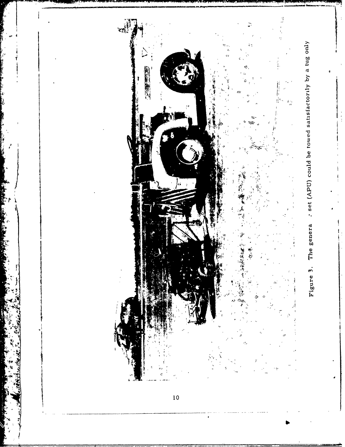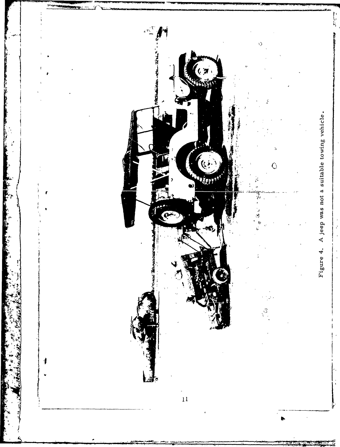